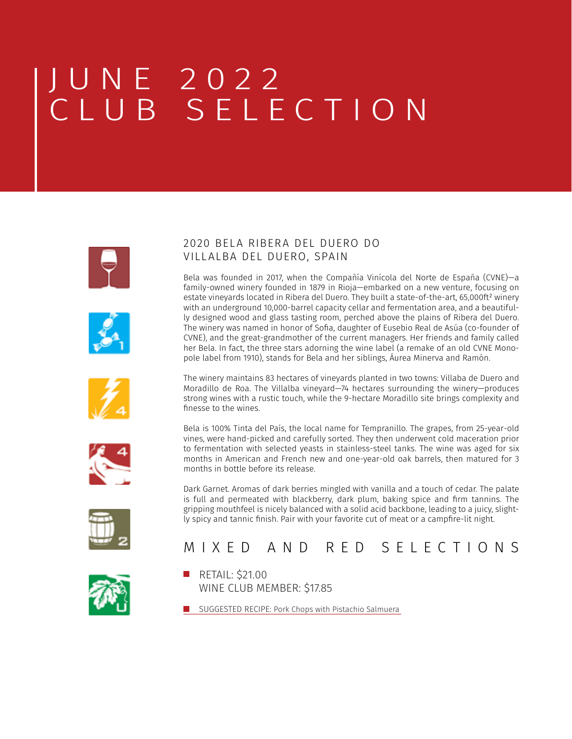







finesse to the wines. Bela is 100% Tinta del País, the local name for Tempranillo. The grapes, from 25-year-old vines, were hand-picked and carefully sorted. They then underwent cold maceration prior to fermentation with selected yeasts in stainless-steel tanks. The wine was aged for six months in American and French new and one-year-old oak barrels, then matured for 3

Dark Garnet. Aromas of dark berries mingled with vanilla and a touch of cedar. The palate is full and permeated with blackberry, dark plum, baking spice and firm tannins. The gripping mouthfeel is nicely balanced with a solid acid backbone, leading to a juicy, slightly spicy and tannic finish. Pair with your favorite cut of meat or a campfire-lit night.



## MIXED AND RED SELECTIONS



**RETAIL: \$21.00** WINE CLUB MEMBER: \$17.85

months in bottle before its release.

**[SUGGESTED RECIPE: Pork Chops with Pistachio Salmuera](https://www.jocooks.com/recipes/pork-chops-with-pistachio-salmuera/)** 

#### 2020 BELA RIBERA DEL DUERO DO VILLALBA DEL DUERO, SPAIN

Bela was founded in 2017, when the Compañía Vinícola del Norte de España (CVNE)—a family-owned winery founded in 1879 in Rioja—embarked on a new venture, focusing on estate vineyards located in Ribera del Duero. They built a state-of-the-art, 65,000ft<sup>2</sup> winery with an underground 10,000-barrel capacity cellar and fermentation area, and a beautifully designed wood and glass tasting room, perched above the plains of Ribera del Duero. The winery was named in honor of Sofia, daughter of Eusebio Real de Asúa (co-founder of CVNE), and the great-grandmother of the current managers. Her friends and family called her Bela. In fact, the three stars adorning the wine label (a remake of an old CVNE Monopole label from 1910), stands for Bela and her siblings, Áurea Minerva and Ramón.

The winery maintains 83 hectares of vineyards planted in two towns: Villaba de Duero and Moradillo de Roa. The Villalba vineyard—74 hectares surrounding the winery—produces strong wines with a rustic touch, while the 9-hectare Moradillo site brings complexity and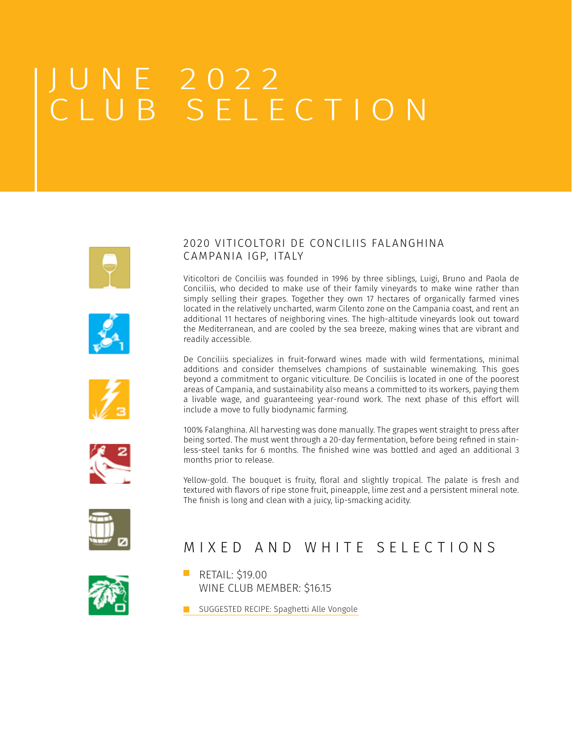







#### 2020 VITICOLTORI DE CONCILIIS FALANGHINA C AMPANIA IGP, ITALY

Viticoltori de Conciliis was founded in 1996 by three siblings, Luigi, Bruno and Paola de Conciliis, who decided to make use of their family vineyards to make wine rather than simply selling their grapes. Together they own 17 hectares of organically farmed vines located in the relatively uncharted, warm Cilento zone on the Campania coast, and rent an additional 11 hectares of neighboring vines. The high-altitude vineyards look out toward the Mediterranean, and are cooled by the sea breeze, making wines that are vibrant and readily accessible.

De Conciliis specializes in fruit-forward wines made with wild fermentations, minimal additions and consider themselves champions of sustainable winemaking. This goes beyond a commitment to organic viticulture. De Conciliis is located in one of the poorest areas of Campania, and sustainability also means a committed to its workers, paying them a livable wage, and guaranteeing year-round work. The next phase of this effort will include a move to fully biodynamic farming.

100% Falanghina. All harvesting was done manually. The grapes went straight to press after being sorted. The must went through a 20-day fermentation, before being refined in stainless-steel tanks for 6 months. The finished wine was bottled and aged an additional 3 months prior to release.

Yellow-gold. The bouquet is fruity, floral and slightly tropical. The palate is fresh and textured with flavors of ripe stone fruit, pineapple, lime zest and a persistent mineral note. The finish is long and clean with a juicy, lip-smacking acidity.



## MIXED AND WHITE SELECTIONS



**RETAIL: \$19.00** WINE CLUB MEMBER: \$16.15

**[SUGGESTED RECIPE: Spaghetti Alle Vongole](https://www.epicurious.com/recipes/food/views/spaghetti-alle-vongole-365197)**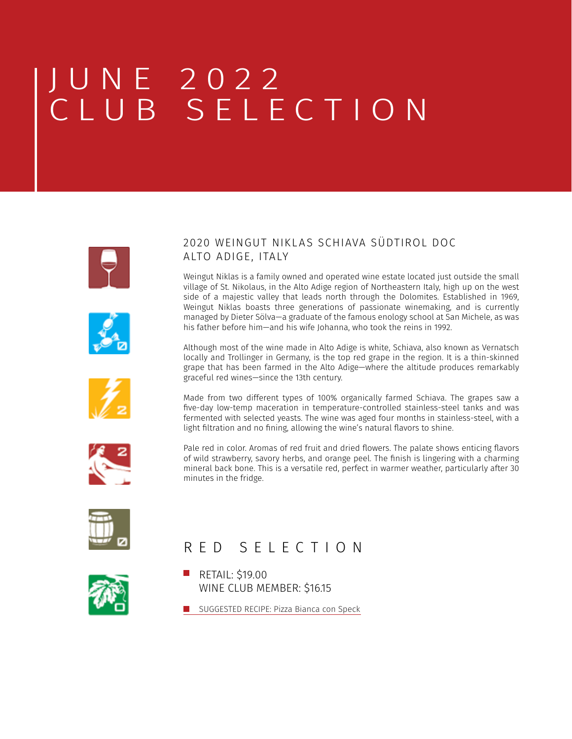ALTO ADIGE, ITALY









Weingut Niklas is a family owned and operated wine estate located just outside the small village of St. Nikolaus, in the Alto Adige region of Northeastern Italy, high up on the west side of a majestic valley that leads north through the Dolomites. Established in 1969, Weingut Niklas boasts three generations of passionate winemaking, and is currently managed by Dieter Sölva—a graduate of the famous enology school at San Michele, as was

Although most of the wine made in Alto Adige is white, Schiava, also known as Vernatsch locally and Trollinger in Germany, is the top red grape in the region. It is a thin-skinned grape that has been farmed in the Alto Adige—where the altitude produces remarkably

2020 WEINGUT NIKLAS SCHIAVA SÜDTIROL DOC

his father before him—and his wife Johanna, who took the reins in 1992.

Pale red in color. Aromas of red fruit and dried flowers. The palate shows enticing flavors of wild strawberry, savory herbs, and orange peel. The finish is lingering with a charming mineral back bone. This is a versatile red, perfect in warmer weather, particularly after 30 minutes in the fridge.



## RED SELECTION

graceful red wines—since the 13th century.



**RETAIL: \$19.00** WINE CLUB MEMBER: \$16.15

**[SUGGESTED RECIPE: Pizza Bianca con Speck](https://www.winemag.com/recipe/pizza-bianca-con-s)**